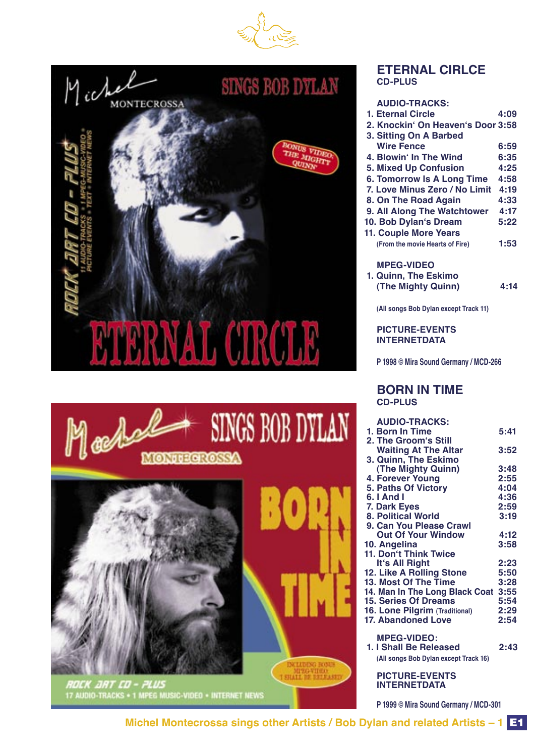





**RDEK .JRT ED – PLUS**<br>17 AUDIO-TRACKS + 1 MPEG MUSIC-VIDEO + INTERNET NEWS

#### **ETERNAL CIRLCE CD-PLUS**

#### **AUDIO-TRACKS:**

| 1. Eternal Circle                 | 4:09 |
|-----------------------------------|------|
| 2. Knockin' On Heaven's Door 3:58 |      |
| 3. Sitting On A Barbed            |      |
| <b>Wire Fence</b>                 | 6:59 |
| 4. Blowin' In The Wind            | 6:35 |
| <b>5. Mixed Up Confusion</b>      | 4:25 |
| <b>6. Tomorrow Is A Long Time</b> | 4:58 |
| 7. Love Minus Zero / No Limit     | 4:19 |
| 8. On The Road Again              | 4:33 |
| 9. All Along The Watchtower       | 4:17 |
| 10. Bob Dylan's Dream             | 5:22 |
| <b>11. Couple More Years</b>      |      |
| (From the movie Hearts of Fire)   | 1:53 |
| <b>MPEG-VIDEO</b>                 |      |
| 1. Quinn, The Eskimo              |      |

 **(The Mighty Quinn) 4:14**

**(All songs Bob Dylan except Track 11)**

 **PICTURE-EVENTS INTERNETDATA**

 **P 1998 © Mira Sound Germany / MCD-266**

#### **BORN IN TIME CD-PLUS**

| <b>AUDIO-TRACKS:</b>                  |      |
|---------------------------------------|------|
| 1. Born In Time                       | 5:41 |
| 2. The Groom's Still                  |      |
| <b>Waiting At The Altar</b>           | 3:52 |
| 3. Quinn, The Eskimo                  |      |
| (The Mighty Quinn)                    | 3:48 |
| 4. Forever Young                      | 2:55 |
| 5. Paths Of Victory                   | 4:04 |
| 6. I And I                            | 4:36 |
| 7. Dark Eyes                          | 2:59 |
| <b>8. Political World</b>             | 3:19 |
| 9. Can You Please Crawl               |      |
| <b>Out Of Your Window</b>             | 4:12 |
| 10. Angelina                          | 3:58 |
| <b>11. Don't Think Twice</b>          |      |
| It's All Right                        | 2:23 |
| 12. Like A Rolling Stone              | 5:50 |
| 13. Most Of The Time                  | 3:28 |
| 14. Man In The Long Black Coat        | 3:55 |
| <b>15. Series Of Dreams</b>           | 5:54 |
| 16. Lone Pilgrim (Traditional)        | 2:29 |
| 17. Abandoned Love                    | 2:54 |
|                                       |      |
| <b>MPEG-VIDEO:</b>                    |      |
| 1. I Shall Be Released                | 2:43 |
| (All songs Bob Dylan except Track 16) |      |
|                                       |      |
| <b>PICTURE-EVENTS</b>                 |      |

 **P 1999 © Mira Sound Germany / MCD-301**

 **INTERNETDATA**

**Michel Montecrossa sings other Artists / Bob Dylan and related Artists – 1** E1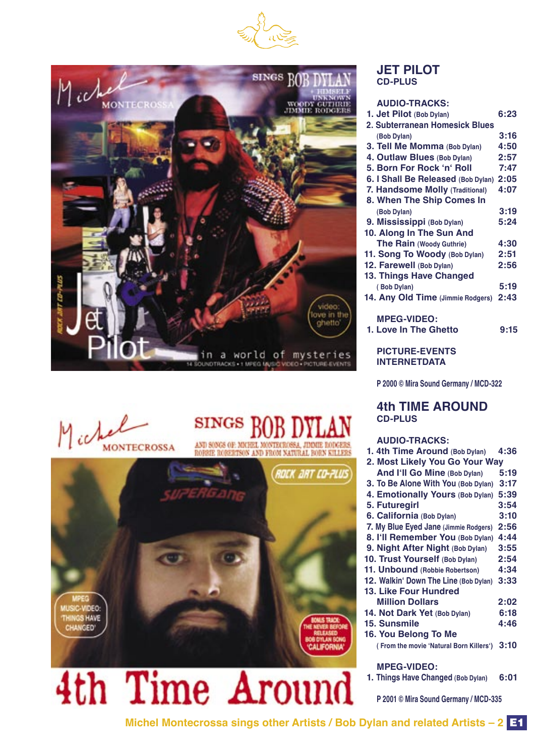



## Michel **MONTECROSSA**

## **SINGS**

AND SONGS OF MICHEL MONTECROSSA, JIMMIE RODGERS ROBERTSON AND FROM NATURAL BORN KILLER



# 4th Time Around

#### **JET PILOT CD-PLUS**

#### **AUDIO-TRACKS:**

| 1. Jet Pilot (Bob Dylan)           | 6:23 |
|------------------------------------|------|
| 2. Subterranean Homesick Blues     |      |
| (Bob Dylan)                        | 3:16 |
| 3. Tell Me Momma (Bob Dylan)       | 4:50 |
| 4. Outlaw Blues (Bob Dylan)        | 2:57 |
| 5. Born For Rock 'n' Roll          | 7:47 |
| 6. I Shall Be Released (Bob Dylan) | 2:05 |
| 7. Handsome Molly (Traditional)    | 4:07 |
| 8. When The Ship Comes In          |      |
| (Bob Dylan)                        | 3:19 |
| 9. Mississippi (Bob Dylan)         | 5:24 |
| 10. Along In The Sun And           |      |
| The Rain (Woody Guthrie)           | 4:30 |
| 11. Song To Woody (Bob Dylan)      | 2:51 |
| 12. Farewell (Bob Dylan)           | 2:56 |
| 13. Things Have Changed            |      |
| (Bob Dylan)                        | 5:19 |
| 14. Any Old Time (Jimmie Rodgers)  | 2:43 |
|                                    |      |
| <b>MPEG-VIDEO:</b>                 |      |

## **PICTURE-EVENTS**

 **INTERNETDATA**

 **P 2000 © Mira Sound Germany / MCD-322**

 **1. Love In The Ghetto 9:15**

#### **4th TIME AROUND CD-PLUS**

#### **AUDIO-TRACKS: 1. 4th Time Around (Bob Dylan) 4:36**

| $1.4$ ul Tillic Alvullu (DOD Dyian)     | 4.JU |
|-----------------------------------------|------|
| 2. Most Likely You Go Your Way          |      |
| And I'll Go Mine (Bob Dylan)            | 5:19 |
| 3. To Be Alone With You (Bob Dylan)     | 3:17 |
| 4. Emotionally Yours (Bob Dylan)        | 5:39 |
| 5. Futuregirl                           | 3:54 |
| 6. California (Bob Dylan)               | 3:10 |
| 7. My Blue Eyed Jane (Jimmie Rodgers)   | 2:56 |
| 8. I'll Remember You (Bob Dylan)        | 4:44 |
| 9. Night After Night (Bob Dylan)        | 3:55 |
| 10. Trust Yourself (Bob Dylan)          | 2:54 |
| 11. Unbound (Robbie Robertson)          | 4:34 |
| 12. Walkin' Down The Line (Bob Dylan)   | 3:33 |
| 13. Like Four Hundred                   |      |
| <b>Million Dollars</b>                  | 2:02 |
| 14. Not Dark Yet (Bob Dylan)            | 6:18 |
| 15. Sunsmile                            | 4:46 |
| 16. You Belong To Me                    |      |
| (From the movie 'Natural Born Killers') | 3:10 |
|                                         |      |
| - - - -                                 |      |

 **MPEG-VIDEO:**

 **1. Things Have Changed (Bob Dylan) 6:01** 

 **P 2001 © Mira Sound Germany / MCD-335**

**Michel Montecrossa sings other Artists / Bob Dylan and related Artists – 2** E1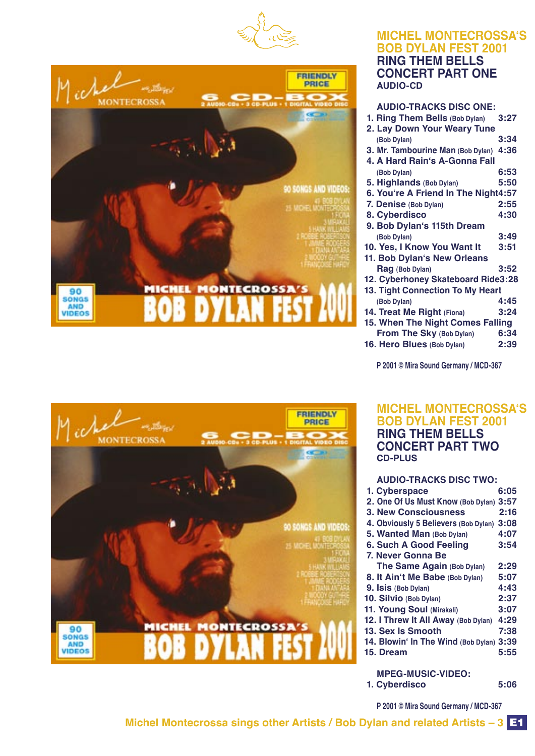



#### **MICHEL MONTECROSSAʻS BOB DYLAN FEST 2001 RING THEM BELLS CONCERT PART ONE AUDIO-CD**

| <b>AUDIO-TRACKS DISC ONE:</b>          |      |
|----------------------------------------|------|
| 1. Ring Them Bells (Bob Dylan)         | 3:27 |
| 2. Lay Down Your Weary Tune            |      |
| (Bob Dylan)                            | 3:34 |
| 3. Mr. Tambourine Man (Bob Dylan) 4:36 |      |
| 4. A Hard Rain's A-Gonna Fall          |      |
| (Bob Dylan)                            | 6:53 |
| 5. Highlands (Bob Dylan)               | 5:50 |
| 6. You're A Friend In The Night4:57    |      |
| 7. Denise (Bob Dylan)                  | 2:55 |
| 8. Cyberdisco                          | 4:30 |
| 9. Bob Dylan's 115th Dream             |      |
| (Bob Dylan)                            | 3:49 |
| 10. Yes, I Know You Want It            | 3:51 |
| 11. Bob Dylan's New Orleans            |      |
| Rag (Bob Dylan)                        | 3:52 |
| 12. Cyberhoney Skateboard Ride3:28     |      |
| 13. Tight Connection To My Heart       |      |
| (Bob Dylan)                            | 4:45 |
| 14. Treat Me Right (Fiona)             | 3:24 |
|                                        |      |
| 15. When The Night Comes Falling       |      |
| From The Sky (Bob Dylan)               | 6:34 |
| 16. Hero Blues (Bob Dylan)             | 2:39 |

 **P 2001 © Mira Sound Germany / MCD-367**

#### **MICHEL MONTECROSSAʻS BOB DYLAN FEST 2001 RING THEM BELLS CONCERT PART TWO CD-PLUS**

| <b>AUDIO-TRACKS DISC TWO:</b>             |      |
|-------------------------------------------|------|
| 1. Cyberspace                             | 6:05 |
| 2. One Of Us Must Know (Bob Dylan) 3:57   |      |
| <b>3. New Consciousness</b>               | 2:16 |
| 4. Obviously 5 Believers (Bob Dylan) 3:08 |      |
| 5. Wanted Man (Bob Dylan)                 | 4:07 |
| 6. Such A Good Feeling                    | 3:54 |
| 7. Never Gonna Be                         |      |
| The Same Again (Bob Dylan)                | 2:29 |
| 8. It Ain't Me Babe (Bob Dylan)           | 5:07 |
| 9. Isis (Bob Dylan)                       | 4:43 |
| 10. Silvio (Bob Dylan)                    | 2:37 |
| 11. Young Soul (Mirakali)                 | 3:07 |
| 12. I Threw It All Away (Bob Dylan)       | 4:29 |
| 13. Sex Is Smooth                         | 7:38 |
| 14. Blowin' In The Wind (Bob Dylan) 3:39  |      |
| 15. Dream                                 | 5:55 |
| <b>MPEG-MUSIC-VIDEO:</b>                  |      |

 **1. Cyberdisco 5:06**

 **P 2001 © Mira Sound Germany / MCD-367**



**MONTECROSSA** 

#### **Michel Montecrossa sings other Artists / Bob Dylan and related Artists – 3** E1

**FRIENDLY** PRICE

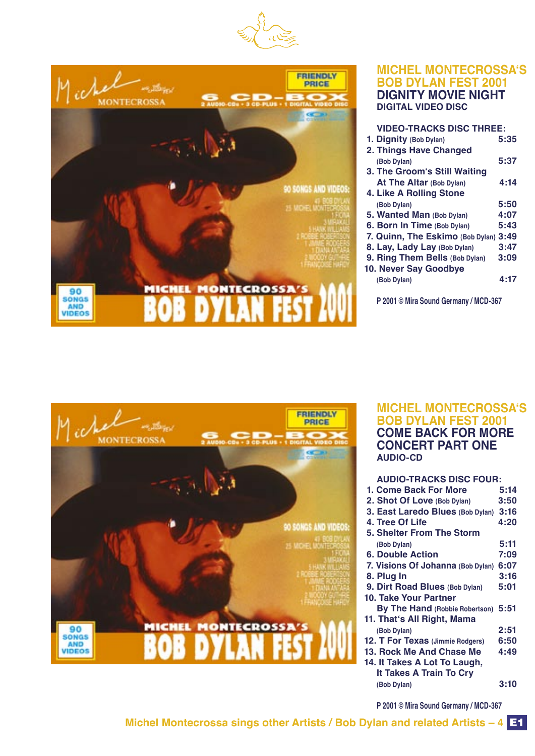



#### **MICHEL MONTECROSSAʻS BOB DYLAN FEST 2001 DIGNITY MOVIE NIGHT DIGITAL VIDEO DISC**

| <b>VIDEO-TRACKS DISC THREE:</b>       |      |
|---------------------------------------|------|
| 1. Dignity (Bob Dylan)                | 5:35 |
| 2. Things Have Changed                |      |
| (Bob Dylan)                           | 5:37 |
| 3. The Groom's Still Waiting          |      |
| <b>At The Altar (Bob Dylan)</b>       | 4:14 |
| 4. Like A Rolling Stone               |      |
| (Bob Dylan)                           | 5:50 |
| 5. Wanted Man (Bob Dylan)             | 4:07 |
| 6. Born In Time (Bob Dylan)           | 5:43 |
| 7. Quinn, The Eskimo (Bob Dylan) 3:49 |      |
| 8. Lay, Lady Lay (Bob Dylan)          | 3:47 |
| 9. Ring Them Bells (Bob Dylan)        | 3:09 |
| 10. Never Say Goodbye                 |      |
| (Bob Dylan)                           | 4:17 |
|                                       |      |

 **P 2001 © Mira Sound Germany / MCD-367**



#### **MICHEL MONTECROSSAʻS BOB DYLAN FEST 2001 COME BACK FOR MORE CONCERT PART ONE AUDIO-CD**

| <b>AUDIO-TRACKS DISC FOUR:</b>    |      |
|-----------------------------------|------|
| 1. Come Back For More             | 5:14 |
| 2. Shot Of Love (Bob Dylan)       | 3:50 |
| 3. East Laredo Blues (Bob Dylan)  | 3:16 |
| 4. Tree Of Life                   | 4:20 |
| 5. Shelter From The Storm         |      |
| (Bob Dylan)                       | 5:11 |
| 6. Double Action                  | 7:09 |
| 7. Visions Of Johanna (Bob Dylan) | 6:07 |
| 8. Plug In                        | 3:16 |
| 9. Dirt Road Blues (Bob Dylan)    | 5:01 |
| 10. Take Your Partner             |      |
| By The Hand (Robbie Robertson)    | 5:51 |
| 11. That's All Right, Mama        |      |
| (Bob Dylan)                       | 2:51 |
| 12. T For Texas (Jimmie Rodgers)  | 6:50 |
| 13. Rock Me And Chase Me          | 4:49 |
| 14. It Takes A Lot To Laugh,      |      |
| <b>It Takes A Train To Cry</b>    |      |
| (Bob Dylan)                       | 3:10 |

 **P 2001 © Mira Sound Germany / MCD-367**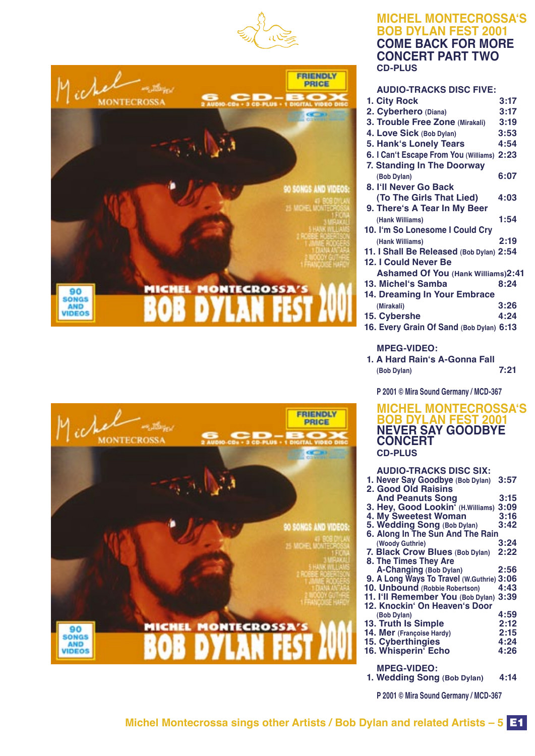





#### **MICHEL MONTECROSSAʻS BOB DYLAN FEST 2001 COME BACK FOR MORE CONCERT PART TWO CD-PLUS**

| <b>AUDIO-TRACKS DISC FIVE:</b>             |      |
|--------------------------------------------|------|
| 1. City Rock                               | 3:17 |
| 2. Cyberhero (Diana)                       | 3:17 |
| 3. Trouble Free Zone (Mirakali)            | 3:19 |
| 4. Love Sick (Bob Dylan)                   | 3:53 |
| 5. Hank's Lonely Tears                     | 4:54 |
| 6. I Can't Escape From You (Williams) 2:23 |      |
| 7. Standing In The Doorway                 |      |
| (Bob Dylan)                                | 6:07 |
| 8. I'll Never Go Back                      |      |
| (To The Girls That Lied)                   | 4:03 |
| 9. There's A Tear In My Beer               |      |
| (Hank Williams)                            | 1:54 |
| 10. I'm So Lonesome I Could Cry            |      |
| (Hank Williams)                            | 2:19 |
| 11. I Shall Be Released (Bob Dylan) 2:54   |      |
| 12. I Could Never Be                       |      |
| <b>Ashamed Of You (Hank Williams)2:41</b>  |      |
| 13. Michel's Samba                         | 8:24 |
| 14. Dreaming In Your Embrace               |      |
| (Mirakali)                                 | 3:26 |
| 15. Cybershe                               | 4:24 |
| 16. Every Grain Of Sand (Bob Dylan) 6:13   |      |
|                                            |      |
| <b>MPEG-VIDEO:</b>                         |      |
| 1. A Hard Rain's A-Gonna Fall              |      |
| (Bob Dylan)                                | 7:21 |
|                                            |      |
| P 2001 © Mira Sound Germany / MCD-367      |      |

#### **MICHEL MONTECROSSAʻS BOB DYLAN FES NEVER SAY GOODBYE CONCERT CD-PLUS**

| <b>AUDIO-TRACKS DISC SIX:</b>                      |      |
|----------------------------------------------------|------|
| 1. Never Say Goodbye (Bob Dylan)                   | 3:57 |
| 2. Good Old Raisins                                |      |
| <b>And Peanuts Song</b>                            | 3:15 |
| 3. Hey, Good Lookin <sup>7</sup> (H.Williams) 3:09 |      |
| <b>4. My Sweetest Woman</b>                        | 3:16 |
| 5. Wedding Song (Bob Dylan)                        | 3:42 |
| 6. Along In The Sun And The Rain                   |      |
| (Woody Guthrie)                                    | 3:24 |
| 7. Black Crow Blues (Bob Dylan)                    | 2:22 |
| 8. The Times They Are                              |      |
| A-Changing (Bob Dylan)                             | 2:56 |
| 9. A Long Ways To Travel (W.Guthrie) 3:06          |      |
| 10. Unbound (Robbie Robertson)                     | 4:43 |
| 11. I'll Remember You (Bob Dylan) 3:39             |      |
| 12. Knockin' On Heaven's Door                      |      |
| (Bob Dylan)                                        | 4:59 |
| 13. Truth Is Simple                                | 2:12 |
| 14. Mer (Françoise Hardy)                          | 2:15 |
| 15. Cyberthingies                                  | 4:24 |
| 16. Whisperin <sup>7</sup> Echo                    | 4:26 |
|                                                    |      |
| <b>MPEG-VIDEO:</b>                                 |      |

 **1. Wedding Song (Bob Dylan) 4:14**

**P 2001 © Mira Sound Germany / MCD-367**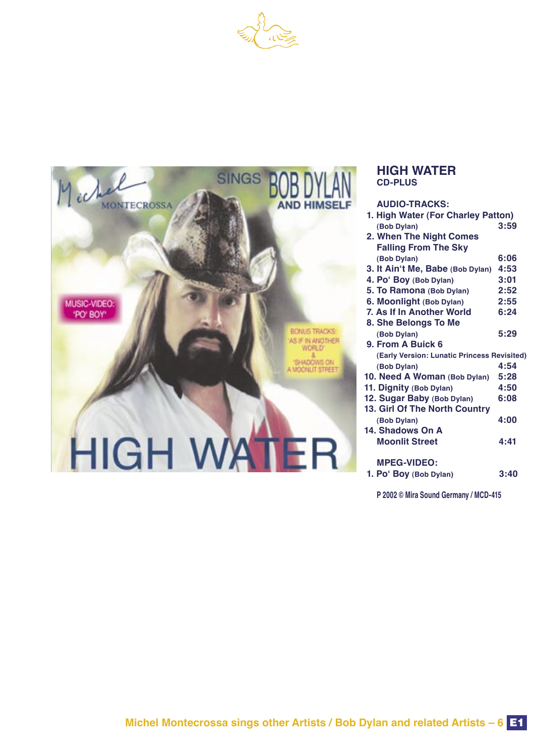



#### **HIGH WATER CD-PLUS**

| AUDIO-TRACKS:                               |      |
|---------------------------------------------|------|
| 1. High Water (For Charley Patton)          |      |
| (Bob Dylan)                                 | 3:59 |
| 2. When The Night Comes                     |      |
| <b>Falling From The Sky</b>                 |      |
| (Bob Dylan)                                 | 6:06 |
| 3. It Ain't Me, Babe (Bob Dylan)            | 4:53 |
| 4. Po' Boy (Bob Dylan)                      | 3:01 |
| 5. To Ramona (Bob Dylan)                    | 2:52 |
| 6. Moonlight (Bob Dylan)                    | 2:55 |
| 7. As If In Another World                   | 6:24 |
| 8. She Belongs To Me                        |      |
| (Bob Dylan)                                 | 5:29 |
| 9. From A Buick 6                           |      |
| (Early Version: Lunatic Princess Revisited) |      |
| (Bob Dylan)                                 | 4:54 |
| 10. Need A Woman (Bob Dylan)                | 5:28 |
| 11. Dignity (Bob Dylan)                     | 4:50 |
| 12. Sugar Baby (Bob Dylan)                  | 6:08 |
| 13. Girl Of The North Country               |      |
| (Bob Dylan)                                 | 4:00 |
| 14. Shadows On A                            |      |
| <b>Moonlit Street</b>                       | 4:41 |
|                                             |      |
| <b>MPEG-VIDEO:</b>                          |      |
| 1. Po' Boy (Bob Dylan)                      | 3:40 |
|                                             |      |

 **P 2002 © Mira Sound Germany / MCD-415**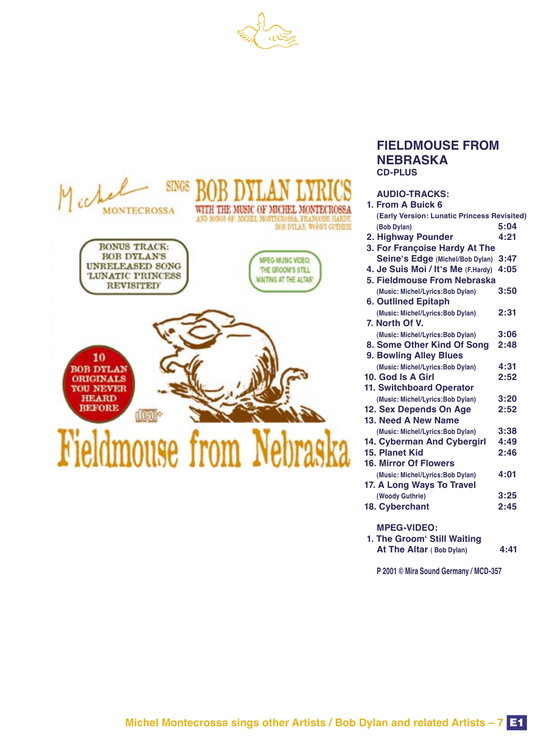



#### **FIELDMOUSE FROM NEBRASKA CD-PLUS**

#### **AUDIO-TRACKS:**

| 1. From A Buick 6                           |      |
|---------------------------------------------|------|
| (Early Version: Lunatic Princess Revisited) |      |
| (Bob Dylan)                                 | 5:04 |
| 2. Highway Pounder                          | 4:21 |
| 3. For Françoise Hardy At The               |      |
| Seine's Edge (Michel/Bob Dylan) 3:47        |      |
| 4. Je Suis Moi / It's Me (F.Hardy)          | 4:05 |
| 5. Fieldmouse From Nebraska                 |      |
| (Music: Michel/Lyrics:Bob Dylan)            | 3:50 |
| <b>6. Outlined Epitaph</b>                  |      |
| (Music: Michel/Lyrics:Bob Dylan)            | 2:31 |
| 7. North Of V.                              |      |
| (Music: Michel/Lyrics:Bob Dylan)            | 3:06 |
| 8. Some Other Kind Of Song                  | 2:48 |
| 9. Bowling Alley Blues                      |      |
| (Music: Michel/Lyrics:Bob Dylan)            | 4:31 |
| 10. God Is A Girl                           | 2:52 |
| <b>11. Switchboard Operator</b>             |      |
| (Music: Michel/Lyrics: Bob Dylan)           | 3:20 |
| 12. Sex Depends On Age                      | 2:52 |
| 13. Need A New Name                         |      |
| (Music: Michel/Lyrics:Bob Dylan)            | 3:38 |
| 14. Cyberman And Cybergirl                  | 4:49 |
| 15. Planet Kid                              | 2:46 |
| <b>16. Mirror Of Flowers</b>                |      |
| (Music: Michel/Lyrics: Bob Dylan)           | 4:01 |
| 17. A Long Ways To Travel                   |      |
| (Woody Guthrie)                             | 3:25 |
| 18. Cyberchant                              | 2:45 |
|                                             |      |

 **MPEG-VIDEO:**

| 1. The Groom Still Waiting      |      |
|---------------------------------|------|
| <b>At The Altar (Bob Dylan)</b> | 4:41 |

 **P 2001 © Mira Sound Germany / MCD-357**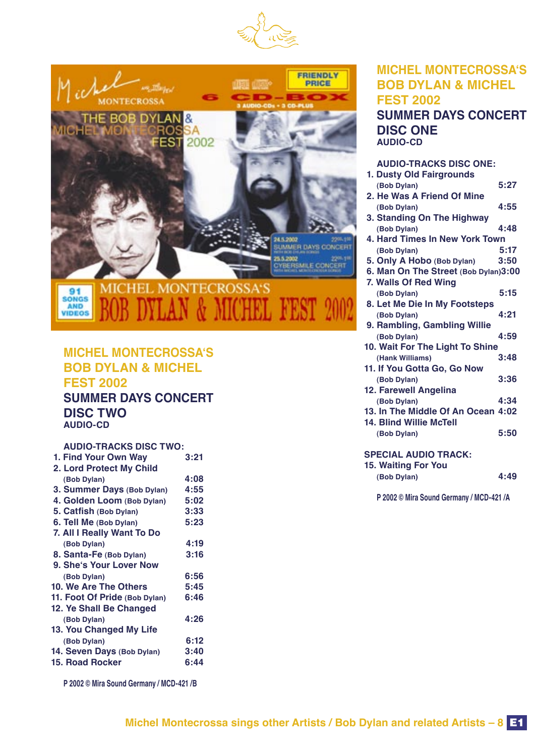



### **MICHEL MONTECROSSAʻS BOB DYLAN & MICHEL FEST 2002**

#### **SUMMER DAYS CONCERT DISC TWO AUDIO-CD**

#### **AUDIO-TRACKS DISC TWO:**

| 1. Find Your Own Way          | 3:21 |
|-------------------------------|------|
| 2. Lord Protect My Child      |      |
| (Bob Dylan)                   | 4:08 |
| 3. Summer Days (Bob Dylan)    | 4:55 |
| 4. Golden Loom (Bob Dylan)    | 5:02 |
| 5. Catfish (Bob Dylan)        | 3:33 |
| 6. Tell Me (Bob Dylan)        | 5:23 |
| 7. All I Really Want To Do    |      |
| (Bob Dylan)                   | 4:19 |
| 8. Santa-Fe (Bob Dylan)       | 3:16 |
| 9. She's Your Lover Now       |      |
| (Bob Dylan)                   | 6:56 |
| 10. We Are The Others         | 5:45 |
| 11. Foot Of Pride (Bob Dylan) | 6:46 |
| 12. Ye Shall Be Changed       |      |
| (Bob Dylan)                   | 4:26 |
| 13. You Changed My Life       |      |
| (Bob Dylan)                   | 6:12 |
| 14. Seven Days (Bob Dylan)    | 3:40 |
| <b>15. Road Rocker</b>        | 6:44 |
|                               |      |

 **P 2002 © Mira Sound Germany / MCD-421 /B**

#### **MICHEL MONTECROSSAʻS BOB DYLAN & MICHEL FEST 2002 SUMMER DAYS CONCERT DISC ONE AUDIO-CD**

| <b>AUDIO-TRACKS DISC ONE:</b>         |      |
|---------------------------------------|------|
| 1. Dusty Old Fairgrounds              |      |
| (Bob Dylan)                           | 5:27 |
| 2. He Was A Friend Of Mine            |      |
| (Bob Dylan)                           | 4:55 |
| 3. Standing On The Highway            |      |
| (Bob Dylan)                           | 4:48 |
| <b>4. Hard Times In New York Town</b> |      |
| (Bob Dylan)                           | 5:17 |
| 5. Only A Hobo (Bob Dylan)            | 3:50 |
| 6. Man On The Street (Bob Dylan)3:00  |      |
| 7. Walls Of Red Wing                  |      |
| (Bob Dylan)                           | 5:15 |
| 8. Let Me Die In My Footsteps         |      |
| (Bob Dylan)                           | 4:21 |
| 9. Rambling, Gambling Willie          |      |
| (Bob Dylan)                           | 4:59 |
| 10. Wait For The Light To Shine       |      |
| (Hank Williams)                       | 3:48 |
| 11. If You Gotta Go, Go Now           |      |
| (Bob Dylan)                           | 3:36 |
| 12. Farewell Angelina                 |      |
| (Bob Dylan)                           | 4:34 |
| 13. In The Middle Of An Ocean 4:02    |      |
| <b>14. Blind Willie McTell</b>        |      |
| (Bob Dylan)                           | 5:50 |
|                                       |      |
| <b>SPECIAL AUDIO TRACK:</b>           |      |

## **SPECIAL AUDIO TRACK:**

| 15. Waiting For You |      |
|---------------------|------|
| (Bob Dylan)         | 4:49 |

 **P 2002 © Mira Sound Germany / MCD-421 /A**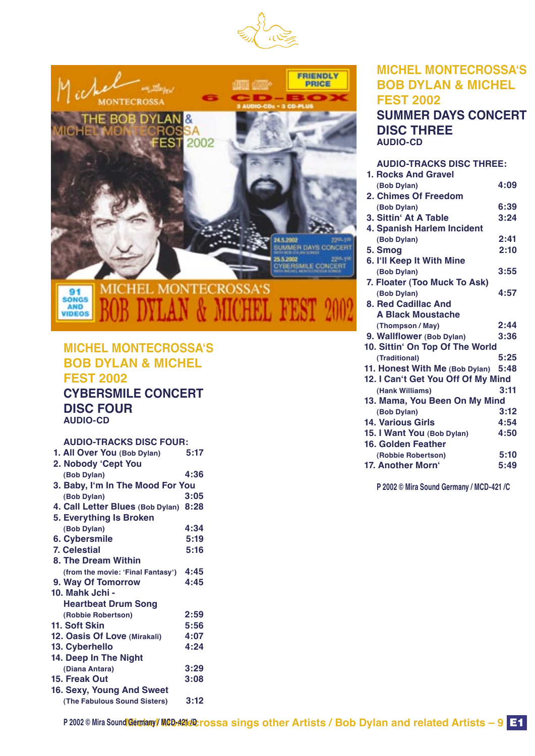



#### **MICHEL MONTECROSSAʻS BOB DYLAN & MICHEL FEST 2002 CYBERSMILE CONCERT DISC FOUR**

 **AUDIO-CD**

#### **AUDIO-TRACKS DISC FOUR:**

| 1. All Over You (Bob Dylan)           | 5:17 |
|---------------------------------------|------|
| 2. Nobody 'Cept You                   |      |
| (Bob Dylan)                           | 4:36 |
| 3. Baby, I'm In The Mood For You      |      |
| (Bob Dylan)                           | 3:05 |
| 4. Call Letter Blues (Bob Dylan) 8:28 |      |
| 5. Everything Is Broken               |      |
| (Bob Dylan)                           | 4:34 |
| 6. Cybersmile                         | 5:19 |
| <b>7. Celestial</b>                   | 5:16 |
| 8. The Dream Within                   |      |
| (from the movie: 'Final Fantasy')     | 4:45 |
| 9. Way Of Tomorrow                    | 4:45 |
| 10. Mahk Jchi -                       |      |
| <b>Heartbeat Drum Song</b>            |      |
| (Robbie Robertson)                    | 2:59 |
| 11. Soft Skin                         | 5:56 |
| 12. Oasis Of Love (Mirakali)          | 4:07 |
| 13. Cyberhello                        | 4:24 |
| 14. Deep In The Night                 |      |
| (Diana Antara)                        | 3:29 |
| 15. Freak Out                         | 3:08 |
| 16. Sexy, Young And Sweet             |      |
| (The Fabulous Sound Sisters)          | 3:12 |
|                                       |      |

#### **MICHEL MONTECROSSAʻS BOB DYLAN & MICHEL FEST 2002 SUMMER DAYS CONCERT DISC THREE AUDIO-CD**

#### **AUDIO-TRACKS DISC THREE: 1. Rocks And Gravel (Bob Dylan) 4:09 2. Chimes Of Freedom (Bob Dylan) 6:39 3. Sittin' At A Table 4. Spanish Harlem Incident (Bob Dylan) 2:41 5. Smog 6. Iʻll Keep It With Mine (Bob Dylan) 3:55 7. Floater (Too Muck To Ask) (Bob Dylan) 4:57 8. Red Cadillac And A Black Moustache (Thompson / May) 2:44 9. Wallflower (Bob Dylan) 10. Sittinʻ On Top Of The World (Traditional) 5:25 11. Honest With Me (Bob Dylan) 5:48 12. I Canʻt Get You Off Of My Mind (Hank Williams) 3:11 13. Mama, You Been On My Mind (Bob Dylan) 3:12 14. Various Girls 4:54<br>
<b>15. I Want You** (Bob Dylan) 4:50 **15. I Want You (Bob Dylan) 16. Golden Feather (Robbie Robertson) 5:10 17. Another Morn**<sup>4</sup>

 **P 2002 © Mira Sound Germany / MCD-421 /C**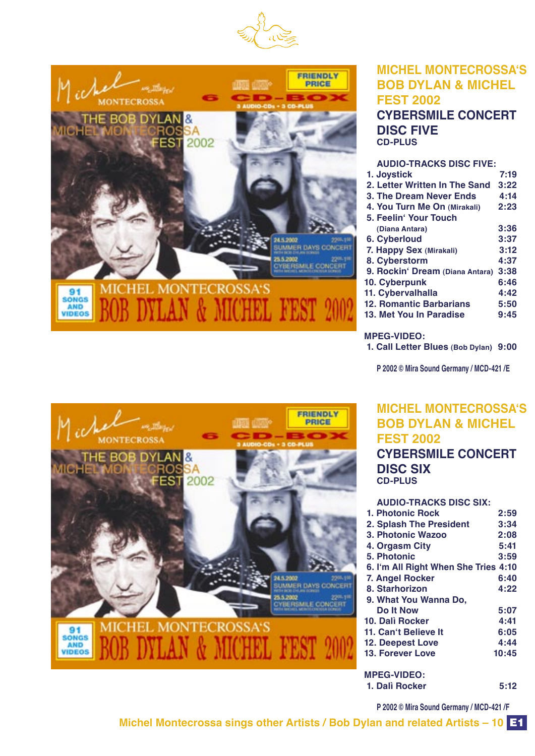



#### **MICHEL MONTECROSSAʻS BOB DYLAN & MICHEL FEST 2002 CYBERSMILE CONCERT DISC FIVE CD-PLUS**

#### **AUDIO-TRACKS DISC FIVE:**

| 1. Joystick                     | 7:19 |
|---------------------------------|------|
| 2. Letter Written In The Sand   | 3:22 |
| 3. The Dream Never Ends         | 4:14 |
| 4. You Turn Me On (Mirakali)    | 2:23 |
| 5. Feelin' Your Touch           |      |
| (Diana Antara)                  | 3:36 |
| 6. Cyberloud                    | 3:37 |
| 7. Happy Sex (Mirakali)         | 3:12 |
| 8. Cyberstorm                   | 4:37 |
| 9. Rockin' Dream (Diana Antara) | 3:38 |
| 10. Cyberpunk                   | 6:46 |
| 11. Cybervalhalla               | 4:42 |
| <b>12. Romantic Barbarians</b>  | 5:50 |
| 13. Met You In Paradise         | 9:45 |
|                                 |      |

#### **MPEG-VIDEO:**

 **1. Call Letter Blues (Bob Dylan) 9:00**

 **P 2002 © Mira Sound Germany / MCD-421 /E**

#### **MICHEL MONTECROSSAʻS BOB DYLAN & MICHEL FEST 2002**

 **CYBERSMILE CONCERT DISC SIX CD-PLUS**

| <b>AUDIO-TRACKS DISC SIX:</b>        |       |
|--------------------------------------|-------|
| 1. Photonic Rock                     | 2:59  |
| 2. Splash The President              | 3:34  |
| 3. Photonic Wazoo                    | 2:08  |
| 4. Orgasm City                       | 5:41  |
| 5. Photonic                          | 3:59  |
| 6. I'm All Right When She Tries 4:10 |       |
| 7. Angel Rocker                      | 6:40  |
| 8. Starhorizon                       | 4:22  |
| 9. What You Wanna Do,                |       |
| Do It Now                            | 5:07  |
| 10. Dalì Rocker                      | 4:41  |
| 11. Can't Believe It                 | 6:05  |
| <b>12. Deepest Love</b>              | 4:44  |
| <b>13. Forever Love</b>              | 10:45 |
| <b>MPEG-VIDEO:</b>                   |       |

#### **1. Dalì Rocker 5:12**

 **P 2002 © Mira Sound Germany / MCD-421 /F**